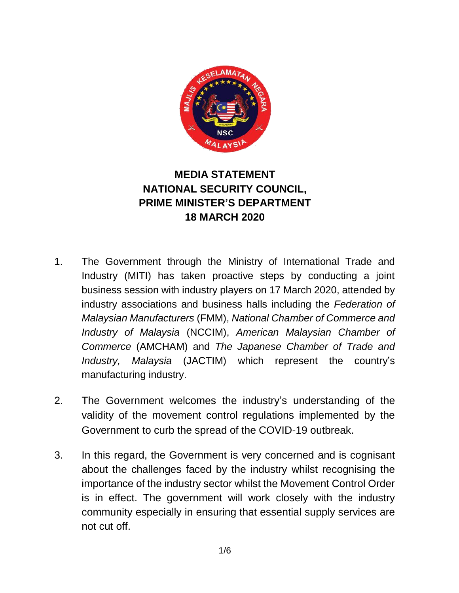

# **MEDIA STATEMENT NATIONAL SECURITY COUNCIL, PRIME MINISTER'S DEPARTMENT 18 MARCH 2020**

- 1. The Government through the Ministry of International Trade and Industry (MITI) has taken proactive steps by conducting a joint business session with industry players on 17 March 2020, attended by industry associations and business halls including the *Federation of Malaysian Manufacturers* (FMM), *National Chamber of Commerce and Industry of Malaysia* (NCCIM), *American Malaysian Chamber of Commerce* (AMCHAM) and *The Japanese Chamber of Trade and Industry, Malaysia* (JACTIM) which represent the country's manufacturing industry.
- 2. The Government welcomes the industry's understanding of the validity of the movement control regulations implemented by the Government to curb the spread of the COVID-19 outbreak.
- 3. In this regard, the Government is very concerned and is cognisant about the challenges faced by the industry whilst recognising the importance of the industry sector whilst the Movement Control Order is in effect. The government will work closely with the industry community especially in ensuring that essential supply services are not cut off.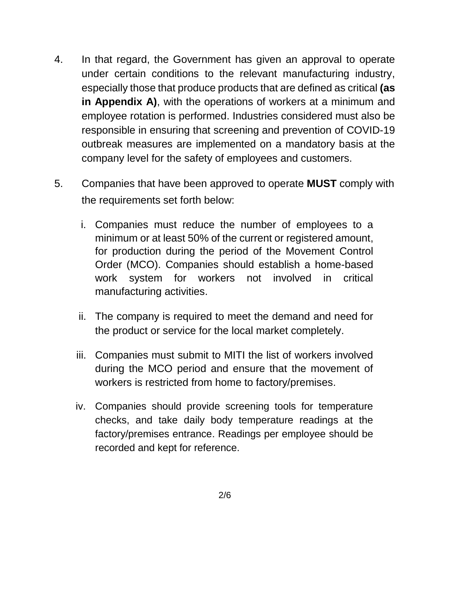- 4. In that regard, the Government has given an approval to operate under certain conditions to the relevant manufacturing industry, especially those that produce products that are defined as critical **(as in Appendix A)**, with the operations of workers at a minimum and employee rotation is performed. Industries considered must also be responsible in ensuring that screening and prevention of COVID-19 outbreak measures are implemented on a mandatory basis at the company level for the safety of employees and customers.
- 5. Companies that have been approved to operate **MUST** comply with the requirements set forth below:
	- i. Companies must reduce the number of employees to a minimum or at least 50% of the current or registered amount, for production during the period of the Movement Control Order (MCO). Companies should establish a home-based work system for workers not involved in critical manufacturing activities.
	- ii. The company is required to meet the demand and need for the product or service for the local market completely.
	- iii. Companies must submit to MITI the list of workers involved during the MCO period and ensure that the movement of workers is restricted from home to factory/premises.
	- iv. Companies should provide screening tools for temperature checks, and take daily body temperature readings at the factory/premises entrance. Readings per employee should be recorded and kept for reference.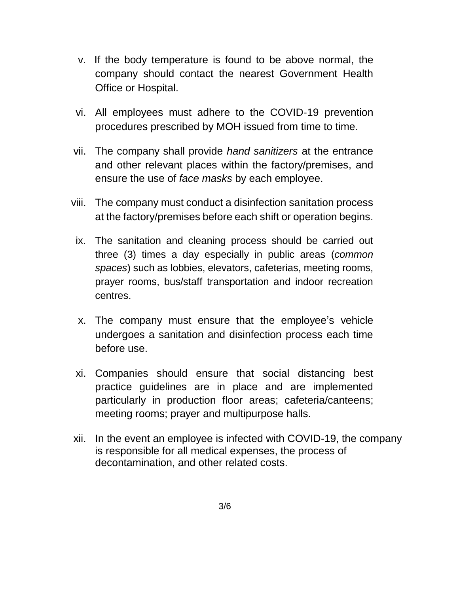- v. If the body temperature is found to be above normal, the company should contact the nearest Government Health Office or Hospital.
- vi. All employees must adhere to the COVID-19 prevention procedures prescribed by MOH issued from time to time.
- vii. The company shall provide *hand sanitizers* at the entrance and other relevant places within the factory/premises, and ensure the use of *face masks* by each employee.
- viii. The company must conduct a disinfection sanitation process at the factory/premises before each shift or operation begins.
- ix. The sanitation and cleaning process should be carried out three (3) times a day especially in public areas (*common spaces*) such as lobbies, elevators, cafeterias, meeting rooms, prayer rooms, bus/staff transportation and indoor recreation centres.
- x. The company must ensure that the employee's vehicle undergoes a sanitation and disinfection process each time before use.
- xi. Companies should ensure that social distancing best practice guidelines are in place and are implemented particularly in production floor areas; cafeteria/canteens; meeting rooms; prayer and multipurpose halls.
- xii. In the event an employee is infected with COVID-19, the company is responsible for all medical expenses, the process of decontamination, and other related costs.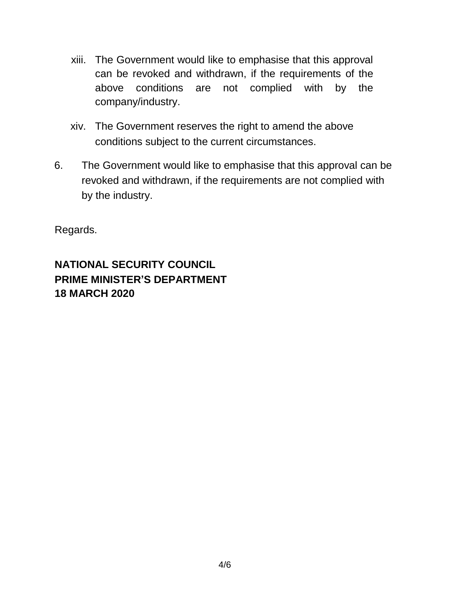- xiii. The Government would like to emphasise that this approval can be revoked and withdrawn, if the requirements of the above conditions are not complied with by the company/industry.
- xiv. The Government reserves the right to amend the above conditions subject to the current circumstances.
- 6. The Government would like to emphasise that this approval can be revoked and withdrawn, if the requirements are not complied with by the industry.

Regards.

## **NATIONAL SECURITY COUNCIL PRIME MINISTER'S DEPARTMENT 18 MARCH 2020**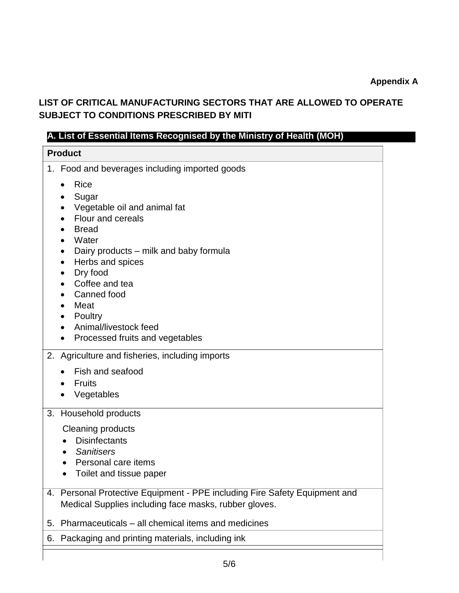### **LIST OF CRITICAL MANUFACTURING SECTORS THAT ARE ALLOWED TO OPERATE SUBJECT TO CONDITIONS PRESCRIBED BY MITI**

### **A. List of Essential Items Recognised by the Ministry of Health (MOH)**

| <b>Product</b>                                                                                                                                                                                                                                                                                                                                                |
|---------------------------------------------------------------------------------------------------------------------------------------------------------------------------------------------------------------------------------------------------------------------------------------------------------------------------------------------------------------|
| 1. Food and beverages including imported goods                                                                                                                                                                                                                                                                                                                |
| <b>Rice</b><br>Sugar<br>Vegetable oil and animal fat<br>$\bullet$<br>Flour and cereals<br><b>Bread</b><br>Water<br>Dairy products – milk and baby formula<br>$\bullet$<br>Herbs and spices<br>$\bullet$<br>Dry food<br>$\bullet$<br>Coffee and tea<br>Canned food<br>Meat<br>Poultry<br>Animal/livestock feed<br>$\bullet$<br>Processed fruits and vegetables |
| Agriculture and fisheries, including imports<br>2.                                                                                                                                                                                                                                                                                                            |
| Fish and seafood<br>$\bullet$                                                                                                                                                                                                                                                                                                                                 |
| <b>Fruits</b>                                                                                                                                                                                                                                                                                                                                                 |
| Vegetables                                                                                                                                                                                                                                                                                                                                                    |
| Household products<br>3.                                                                                                                                                                                                                                                                                                                                      |
| <b>Cleaning products</b><br><b>Disinfectants</b><br><b>Sanitisers</b><br>Personal care items                                                                                                                                                                                                                                                                  |
| Toilet and tissue paper                                                                                                                                                                                                                                                                                                                                       |
| Personal Protective Equipment - PPE including Fire Safety Equipment and<br>4.<br>Medical Supplies including face masks, rubber gloves.                                                                                                                                                                                                                        |
| Pharmaceuticals – all chemical items and medicines<br>5.                                                                                                                                                                                                                                                                                                      |
| Packaging and printing materials, including ink<br>6.                                                                                                                                                                                                                                                                                                         |
|                                                                                                                                                                                                                                                                                                                                                               |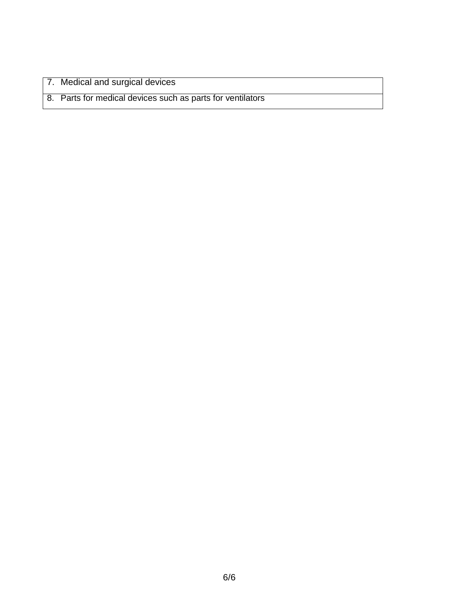7. Medical and surgical devices

8. Parts for medical devices such as parts for ventilators